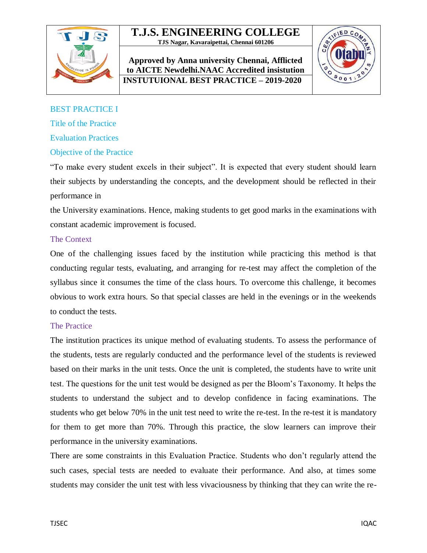

**Approved by Anna university Chennai, Afflicted to AICTE Newdelhi.NAAC Accredited insistution INSTUTUIONAL BEST PRACTICE – 2019-2020**



# BEST PRACTICE I Title of the Practice Evaluation Practices

### Objective of the Practice

"To make every student excels in their subject". It is expected that every student should learn their subjects by understanding the concepts, and the development should be reflected in their performance in

the University examinations. Hence, making students to get good marks in the examinations with constant academic improvement is focused.

#### The Context

One of the challenging issues faced by the institution while practicing this method is that conducting regular tests, evaluating, and arranging for re-test may affect the completion of the syllabus since it consumes the time of the class hours. To overcome this challenge, it becomes obvious to work extra hours. So that special classes are held in the evenings or in the weekends to conduct the tests.

#### The Practice

The institution practices its unique method of evaluating students. To assess the performance of the students, tests are regularly conducted and the performance level of the students is reviewed based on their marks in the unit tests. Once the unit is completed, the students have to write unit test. The questions for the unit test would be designed as per the Bloom's Taxonomy. It helps the students to understand the subject and to develop confidence in facing examinations. The students who get below 70% in the unit test need to write the re-test. In the re-test it is mandatory for them to get more than 70%. Through this practice, the slow learners can improve their performance in the university examinations.

There are some constraints in this Evaluation Practice. Students who don't regularly attend the such cases, special tests are needed to evaluate their performance. And also, at times some students may consider the unit test with less vivaciousness by thinking that they can write the re-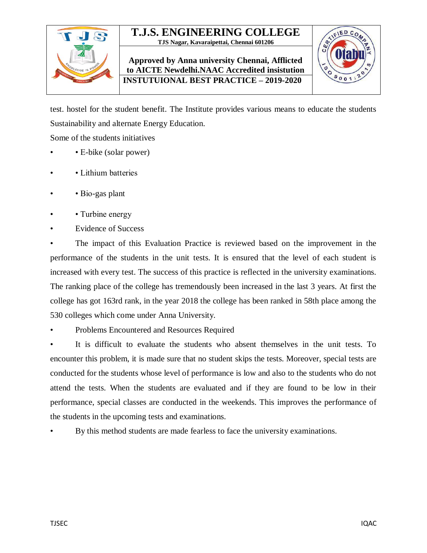

**Approved by Anna university Chennai, Afflicted to AICTE Newdelhi.NAAC Accredited insistution INSTUTUIONAL BEST PRACTICE – 2019-2020**



test. hostel for the student benefit. The Institute provides various means to educate the students Sustainability and alternate Energy Education.

Some of the students initiatives

- E-bike (solar power)
- Lithium batteries
- Bio-gas plant
- Turbine energy
- Evidence of Success

• The impact of this Evaluation Practice is reviewed based on the improvement in the performance of the students in the unit tests. It is ensured that the level of each student is increased with every test. The success of this practice is reflected in the university examinations. The ranking place of the college has tremendously been increased in the last 3 years. At first the college has got 163rd rank, in the year 2018 the college has been ranked in 58th place among the 530 colleges which come under Anna University.

• Problems Encountered and Resources Required

It is difficult to evaluate the students who absent themselves in the unit tests. To encounter this problem, it is made sure that no student skips the tests. Moreover, special tests are conducted for the students whose level of performance is low and also to the students who do not attend the tests. When the students are evaluated and if they are found to be low in their performance, special classes are conducted in the weekends. This improves the performance of the students in the upcoming tests and examinations.

• By this method students are made fearless to face the university examinations.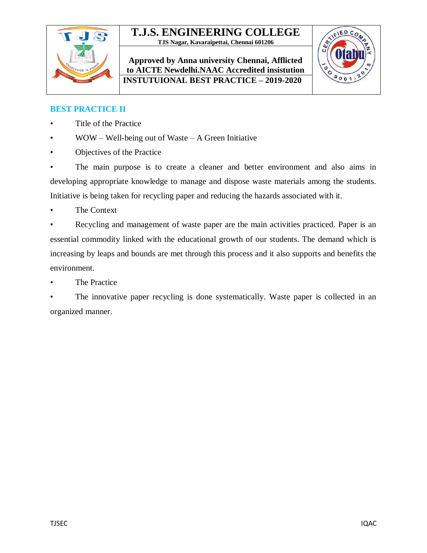

**Approved by Anna university Chennai, Afflicted to AICTE Newdelhi.NAAC Accredited insistution INSTUTUIONAL BEST PRACTICE – 2019-2020**



# **BEST PRACTICE II**

- Title of the Practice
- $WOW Well-being out of Waste A Green Initiative$
- Objectives of the Practice

The main purpose is to create a cleaner and better environment and also aims in developing appropriate knowledge to manage and dispose waste materials among the students. Initiative is being taken for recycling paper and reducing the hazards associated with it.

The Context

Recycling and management of waste paper are the main activities practiced. Paper is an essential commodity linked with the educational growth of our students. The demand which is increasing by leaps and bounds are met through this process and it also supports and benefits the environment.

The Practice

The innovative paper recycling is done systematically. Waste paper is collected in an organized manner.